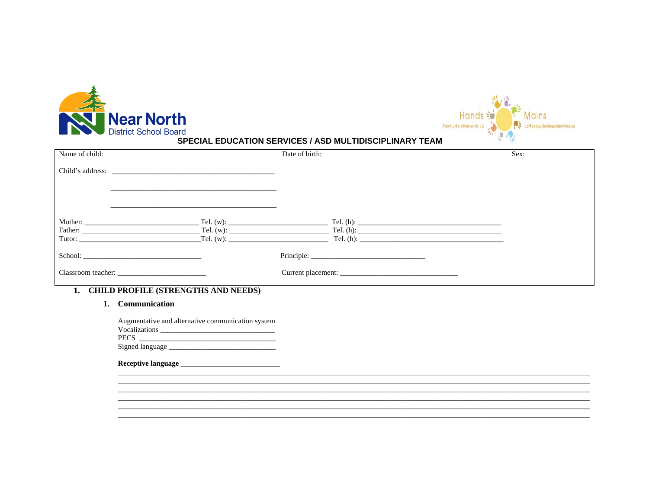



#### **SPECIAL EDUCATION SERVICES / ASD MULTIDISCIPLINARY TEAM**

| Name of child:                                                                                                                                                                                                                |                        | Date of birth:     | Sex:                                                   |
|-------------------------------------------------------------------------------------------------------------------------------------------------------------------------------------------------------------------------------|------------------------|--------------------|--------------------------------------------------------|
|                                                                                                                                                                                                                               |                        |                    |                                                        |
| Tutor:                                                                                                                                                                                                                        | Tel. (w):<br>Tel. (w): |                    | $\text{Tel.}(\text{h})$ :<br>$\text{Tel.}(\text{h})$ : |
| School: The School School School School School School School School School School School School School School School School School School School School School School School School School School School School School School |                        |                    |                                                        |
|                                                                                                                                                                                                                               |                        | Current placement: |                                                        |

# 1. CHILD PROFILE (STRENGTHS AND NEEDS)

## 1. Communication

Augmentative and alternative communication system PECS PECS 

####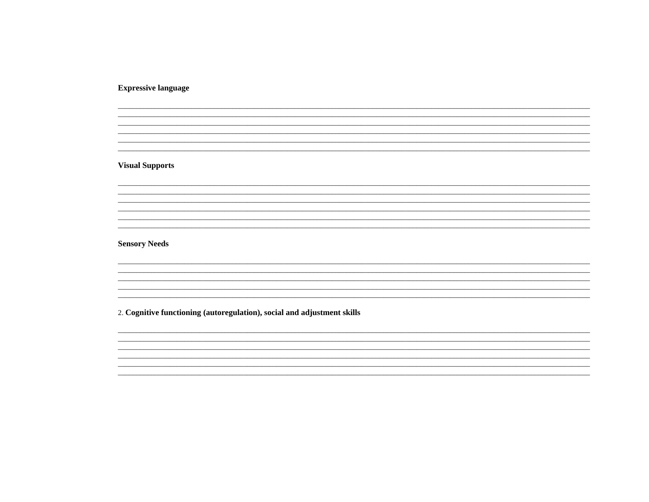**Expressive language** 

**Visual Supports** 

**Sensory Needs** 

2. Cognitive functioning (autoregulation), social and adjustment skills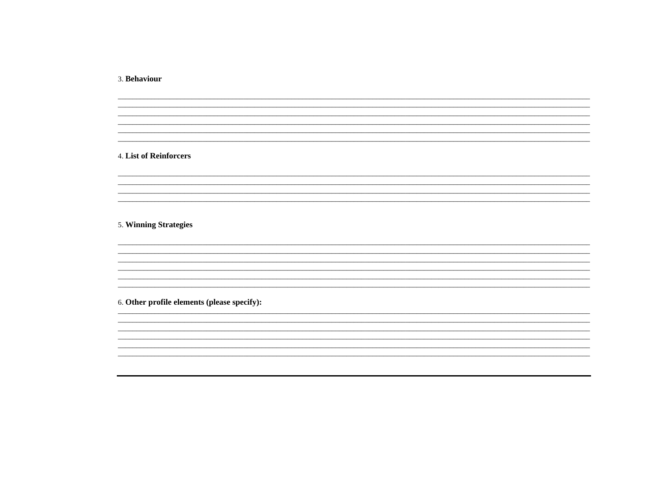3. Behaviour

## 4. List of Reinforcers

5. Winning Strategies

6. Other profile elements (please specify):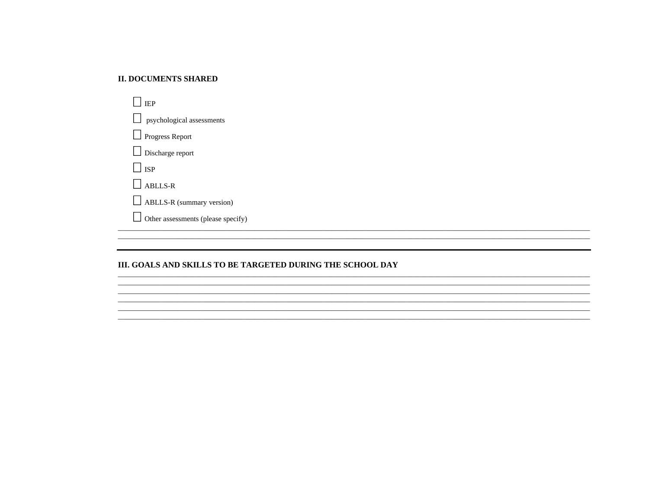#### **II. DOCUMENTS SHARED**

| <b>IEP</b>                         |
|------------------------------------|
| psychological assessments          |
| $\Box$ Progress Report             |
| $\Box$ Discharge report            |
| $\vert$ $\vert$ isp                |
| $\Box$ ABLLS-R                     |
| $\Box$ ABLLS-R (summary version)   |
| Other assessments (please specify) |

## III. GOALS AND SKILLS TO BE TARGETED DURING THE SCHOOL DAY